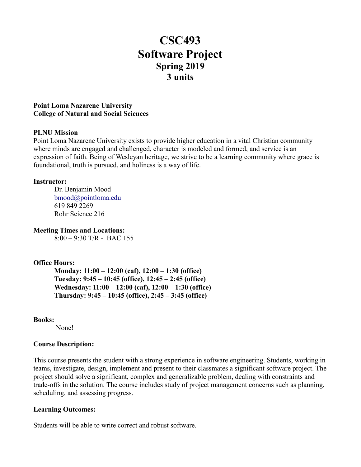# **CSC493 Software Project Spring 2019 3 units**

#### **Point Loma Nazarene University College of Natural and Social Sciences**

#### **PLNU Mission**

Point Loma Nazarene University exists to provide higher education in a vital Christian community where minds are engaged and challenged, character is modeled and formed, and service is an expression of faith. Being of Wesleyan heritage, we strive to be a learning community where grace is foundational, truth is pursued, and holiness is a way of life.

#### **Instructor:**

Dr. Benjamin Mood [bmood@pointloma.edu](mailto:bmood@pointloma.edu) 619 849 2269 Rohr Science 216

**Meeting Times and Locations:**

 $8:00 - 9:30$  T/R - BAC 155

# **Office Hours:**

**Monday: 11:00 – 12:00 (caf), 12:00 – 1:30 (office) Tuesday: 9:45 – 10:45 (office), 12:45 – 2:45 (office) Wednesday: 11:00 – 12:00 (caf), 12:00 – 1:30 (office) Thursday: 9:45 – 10:45 (office), 2:45 – 3:45 (office)**

#### **Books:**

None!

# **Course Description:**

This course presents the student with a strong experience in software engineering. Students, working in teams, investigate, design, implement and present to their classmates a significant software project. The project should solve a significant, complex and generalizable problem, dealing with constraints and trade-offs in the solution. The course includes study of project management concerns such as planning, scheduling, and assessing progress.

# **Learning Outcomes:**

Students will be able to write correct and robust software.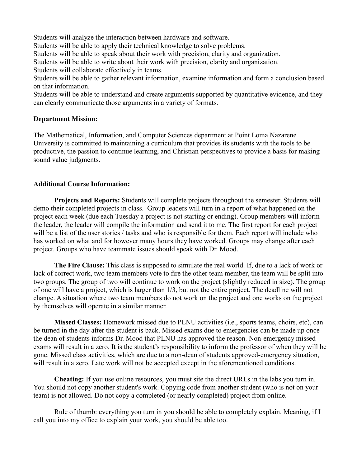Students will analyze the interaction between hardware and software.

Students will be able to apply their technical knowledge to solve problems.

Students will be able to speak about their work with precision, clarity and organization.

Students will be able to write about their work with precision, clarity and organization.

Students will collaborate effectively in teams.

Students will be able to gather relevant information, examine information and form a conclusion based on that information.

Students will be able to understand and create arguments supported by quantitative evidence, and they can clearly communicate those arguments in a variety of formats.

# **Department Mission:**

The Mathematical, Information, and Computer Sciences department at Point Loma Nazarene University is committed to maintaining a curriculum that provides its students with the tools to be productive, the passion to continue learning, and Christian perspectives to provide a basis for making sound value judgments.

# **Additional Course Information:**

**Projects and Reports:** Students will complete projects throughout the semester. Students will demo their completed projects in class. Group leaders will turn in a report of what happened on the project each week (due each Tuesday a project is not starting or ending). Group members will inform the leader, the leader will compile the information and send it to me. The first report for each project will be a list of the user stories / tasks and who is responsible for them. Each report will include who has worked on what and for however many hours they have worked. Groups may change after each project. Groups who have teammate issues should speak with Dr. Mood.

**The Fire Clause:** This class is supposed to simulate the real world. If, due to a lack of work or lack of correct work, two team members vote to fire the other team member, the team will be split into two groups. The group of two will continue to work on the project (slightly reduced in size). The group of one will have a project, which is larger than 1/3, but not the entire project. The deadline will not change. A situation where two team members do not work on the project and one works on the project by themselves will operate in a similar manner.

**Missed Classes:** Homework missed due to PLNU activities (i.e., sports teams, choirs, etc), can be turned in the day after the student is back. Missed exams due to emergencies can be made up once the dean of students informs Dr. Mood that PLNU has approved the reason. Non-emergency missed exams will result in a zero. It is the student's responsibility to inform the professor of when they will be gone. Missed class activities, which are due to a non-dean of students approved-emergency situation, will result in a zero. Late work will not be accepted except in the aforementioned conditions.

**Cheating:** If you use online resources, you must site the direct URLs in the labs you turn in. You should not copy another student's work. Copying code from another student (who is not on your team) is not allowed. Do not copy a completed (or nearly completed) project from online.

Rule of thumb: everything you turn in you should be able to completely explain. Meaning, if I call you into my office to explain your work, you should be able too.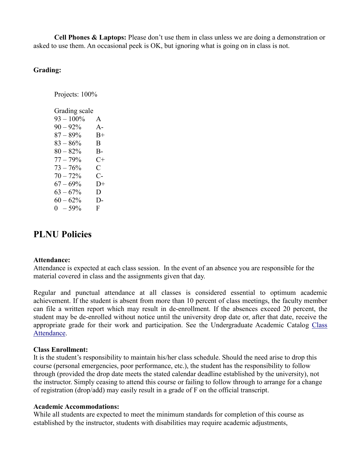**Cell Phones & Laptops:** Please don't use them in class unless we are doing a demonstration or asked to use them. An occasional peek is OK, but ignoring what is going on in class is not.

# **Grading:**

Projects: 100%

| Grading scale |              |
|---------------|--------------|
| $93 - 100\%$  | A            |
| $90 - 92\%$   | $A-$         |
| $87 - 89%$    | $_{\rm B+}$  |
| $83 - 86\%$   | B            |
| $80 - 82%$    | B-           |
| $77 - 79%$    | $C+$         |
| $73 - 76%$    | $\mathsf{C}$ |
| $70 - 72%$    | C-           |
| $67 - 69\%$   | $D+$         |
| $63 - 67\%$   | D.           |
| $60 - 62\%$   | D-           |
| $0 - 59\%$    | F            |

# **PLNU Policies**

#### **Attendance:**

Attendance is expected at each class session. In the event of an absence you are responsible for the material covered in class and the assignments given that day.

Regular and punctual attendance at all classes is considered essential to optimum academic achievement. If the student is absent from more than 10 percent of class meetings, the faculty member can file a written report which may result in de-enrollment. If the absences exceed 20 percent, the student may be de-enrolled without notice until the university drop date or, after that date, receive the appropriate grade for their work and participation. See the Undergraduate Academic Catalog [Class](https://catalog.pointloma.edu/content.php?catoid=35&navoid=2136#Class_Attendance)  [Attendance.](https://catalog.pointloma.edu/content.php?catoid=35&navoid=2136#Class_Attendance)

#### **Class Enrollment:**

It is the student's responsibility to maintain his/her class schedule. Should the need arise to drop this course (personal emergencies, poor performance, etc.), the student has the responsibility to follow through (provided the drop date meets the stated calendar deadline established by the university), not the instructor. Simply ceasing to attend this course or failing to follow through to arrange for a change of registration (drop/add) may easily result in a grade of F on the official transcript.

#### **Academic Accommodations:**

While all students are expected to meet the minimum standards for completion of this course as established by the instructor, students with disabilities may require academic adjustments,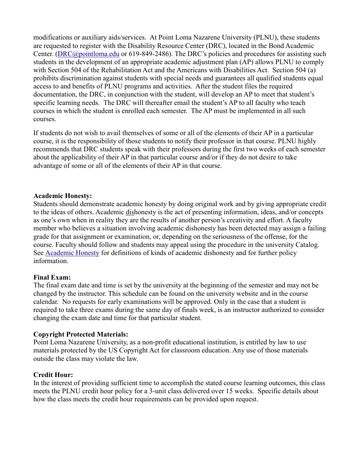modifications or auxiliary aids/services. At Point Loma Nazarene University (PLNU), these students are requested to register with the Disability Resource Center (DRC), located in the Bond Academic Center. [\(DRC@pointloma.edu](mailto:DRC@pointloma.edu) or 619-849-2486). The DRC's policies and procedures for assisting such students in the development of an appropriate academic adjustment plan (AP) allows PLNU to comply with Section 504 of the Rehabilitation Act and the Americans with Disabilities Act. Section 504 (a) prohibits discrimination against students with special needs and guarantees all qualified students equal access to and benefits of PLNU programs and activities. After the student files the required documentation, the DRC, in conjunction with the student, will develop an AP to meet that student's specific learning needs. The DRC will thereafter email the student's AP to all faculty who teach courses in which the student is enrolled each semester. The AP must be implemented in all such courses.

If students do not wish to avail themselves of some or all of the elements of their AP in a particular course, it is the responsibility of those students to notify their professor in that course. PLNU highly recommends that DRC students speak with their professors during the first two weeks of each semester about the applicability of their AP in that particular course and/or if they do not desire to take advantage of some or all of the elements of their AP in that course.

# **Academic Honesty:**

Students should demonstrate academic honesty by doing original work and by giving appropriate credit to the ideas of others. Academic dishonesty is the act of presenting information, ideas, and/or concepts as one's own when in reality they are the results of another person's creativity and effort. A faculty member who believes a situation involving academic dishonesty has been detected may assign a failing grade for that assignment or examination, or, depending on the seriousness of the offense, for the course. Faculty should follow and students may appeal using the procedure in the university Catalog. See [Academic Honesty](https://catalog.pointloma.edu/content.php?catoid=35&navoid=2136#Academic_Honesty) for definitions of kinds of academic dishonesty and for further policy information.

# **Final Exam:**

The final exam date and time is set by the university at the beginning of the semester and may not be changed by the instructor. This schedule can be found on the university website and in the course calendar. No requests for early examinations will be approved. Only in the case that a student is required to take three exams during the same day of finals week, is an instructor authorized to consider changing the exam date and time for that particular student.

# **Copyright Protected Materials:**

Point Loma Nazarene University, as a non-profit educational institution, is entitled by law to use materials protected by the US Copyright Act for classroom education. Any use of those materials outside the class may violate the law.

#### **Credit Hour:**

In the interest of providing sufficient time to accomplish the stated course learning outcomes, this class meets the PLNU credit hour policy for a 3-unit class delivered over 15 weeks. Specific details about how the class meets the credit hour requirements can be provided upon request.